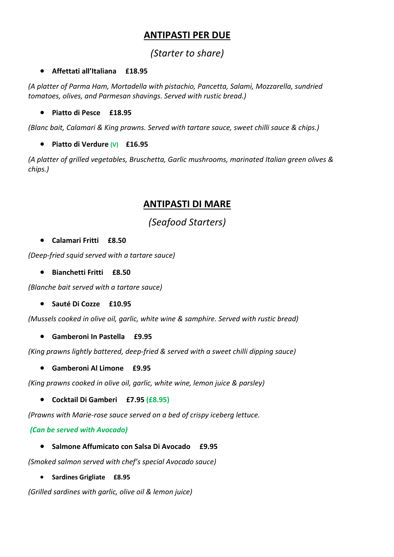# **ANTIPASTI PER DUE**

# *(Starter to share)*

#### • **Affettati all'Italiana £18.95**

*(A platter of Parma Ham, Mortadella with pistachio, Pancetta, Salami, Mozzarella, sundried tomatoes, olives, and Parmesan shavings. Served with rustic bread.)*

• **Piatto di Pesce £18.95**

*(Blanc bait, Calamari & King prawns. Served with tartare sauce, sweet chilli sauce & chips.)*

• **Piatto di Verdure (V) £16.95**

*(A platter of grilled vegetables, Bruschetta, Garlic mushrooms, marinated Italian green olives & chips.)* 

## **ANTIPASTI DI MARE**

*(Seafood Starters)*

• **Calamari Fritti £8.50**

*(Deep-fried squid served with a tartare sauce)*

• **Bianchetti Fritti £8.50**

*(Blanche bait served with a tartare sauce)*

• **Sauté Di Cozze £10.95**

*(Mussels cooked in olive oil, garlic, white wine & samphire. Served with rustic bread)*

• **Gamberoni In Pastella £9.95**

*(King prawns lightly battered, deep-fried & served with a sweet chilli dipping sauce)*

• **Gamberoni Al Limone £9.95**

*(King prawns cooked in olive oil, garlic, white wine, lemon juice & parsley)*

• **Cocktail Di Gamberi £7.95 (£8.95)**

*(Prawns with Marie-rose sauce served on a bed of crispy iceberg lettuce.*

*(Can be served with Avocado)*

• **Salmone Affumicato con Salsa Di Avocado £9.95**

*(Smoked salmon served with chef's special Avocado sauce)*

• **Sardines Grigliate £8.95**

*(Grilled sardines with garlic, olive oil & lemon juice)*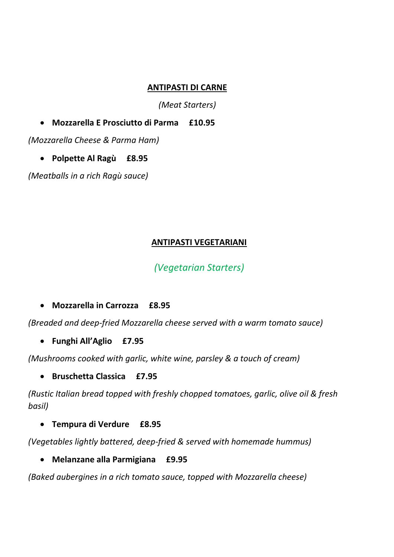#### **ANTIPASTI DI CARNE**

*(Meat Starters)*

• **Mozzarella E Prosciutto di Parma £10.95**

*(Mozzarella Cheese & Parma Ham)*

• **Polpette Al Ragù £8.95**

*(Meatballs in a rich Ragù sauce)*

#### **ANTIPASTI VEGETARIANI**

## *(Vegetarian Starters)*

• **Mozzarella in Carrozza £8.95**

*(Breaded and deep-fried Mozzarella cheese served with a warm tomato sauce)*

• **Funghi All'Aglio £7.95**

*(Mushrooms cooked with garlic, white wine, parsley & a touch of cream)*

• **Bruschetta Classica £7.95**

*(Rustic Italian bread topped with freshly chopped tomatoes, garlic, olive oil & fresh basil)*

• **Tempura di Verdure £8.95**

*(Vegetables lightly battered, deep-fried & served with homemade hummus)*

• **Melanzane alla Parmigiana £9.95**

*(Baked aubergines in a rich tomato sauce, topped with Mozzarella cheese)*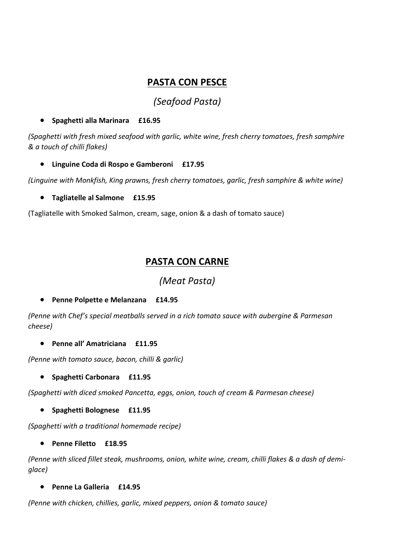## **PASTA CON PESCE**

# *(Seafood Pasta)*

#### • **Spaghetti alla Marinara £16.95**

*(Spaghetti with fresh mixed seafood with garlic, white wine, fresh cherry tomatoes, fresh samphire & a touch of chilli flakes)*

• **Linguine Coda di Rospo e Gamberoni £17.95**

*(Linguine with Monkfish, King prawns, fresh cherry tomatoes, garlic, fresh samphire & white wine)*

• **Tagliatelle al Salmone £15.95**

(Tagliatelle with Smoked Salmon, cream, sage, onion & a dash of tomato sauce)

## **PASTA CON CARNE**

*(Meat Pasta)*

• **Penne Polpette e Melanzana £14.95**

*(Penne with Chef's special meatballs served in a rich tomato sauce with aubergine & Parmesan cheese)*

• **Penne all' Amatriciana £11.95**

*(Penne with tomato sauce, bacon, chilli & garlic)*

• **Spaghetti Carbonara £11.95**

*(Spaghetti with diced smoked Pancetta, eggs, onion, touch of cream & Parmesan cheese)*

• **Spaghetti Bolognese £11.95**

*(Spaghetti with a traditional homemade recipe)*

• **Penne Filetto £18.95**

*(Penne with sliced fillet steak, mushrooms, onion, white wine, cream, chilli flakes & a dash of demiglace)* 

• **Penne La Galleria £14.95**

*(Penne with chicken, chillies, garlic, mixed peppers, onion & tomato sauce)*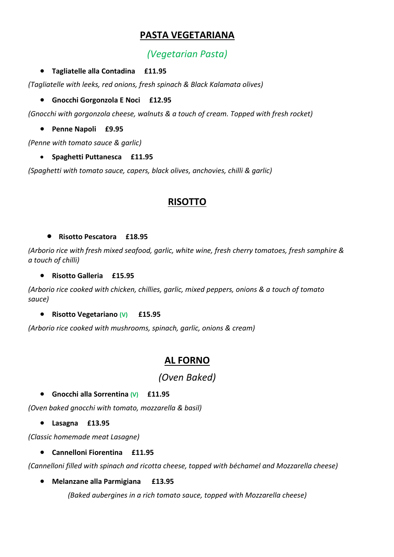# **PASTA VEGETARIANA**

# *(Vegetarian Pasta)*

#### • **Tagliatelle alla Contadina £11.95**

*(Tagliatelle with leeks, red onions, fresh spinach & Black Kalamata olives)*

#### • **Gnocchi Gorgonzola E Noci £12.95**

*(Gnocchi with gorgonzola cheese, walnuts & a touch of cream. Topped with fresh rocket)*

• **Penne Napoli £9.95**

*(Penne with tomato sauce & garlic)*

• **Spaghetti Puttanesca £11.95**

*(Spaghetti with tomato sauce, capers, black olives, anchovies, chilli & garlic)*

### **RISOTTO**

#### • **Risotto Pescatora £18.95**

*(Arborio rice with fresh mixed seafood, garlic, white wine, fresh cherry tomatoes, fresh samphire & a touch of chilli)*

#### • **Risotto Galleria £15.95**

*(Arborio rice cooked with chicken, chillies, garlic, mixed peppers, onions & a touch of tomato sauce)*

#### • **Risotto Vegetariano (V) £15.95**

*(Arborio rice cooked with mushrooms, spinach, garlic, onions & cream)*

## **AL FORNO**

*(Oven Baked)*

#### • **Gnocchi alla Sorrentina (V)****£11.95**

*(Oven baked gnocchi with tomato, mozzarella & basil)*

• **Lasagna £13.95**

*(Classic homemade meat Lasagne)*

#### • **Cannelloni Fiorentina £11.95**

*(Cannelloni filled with spinach and ricotta cheese, topped with béchamel and Mozzarella cheese)*

• **Melanzane alla Parmigiana £13.95**

*(Baked aubergines in a rich tomato sauce, topped with Mozzarella cheese)*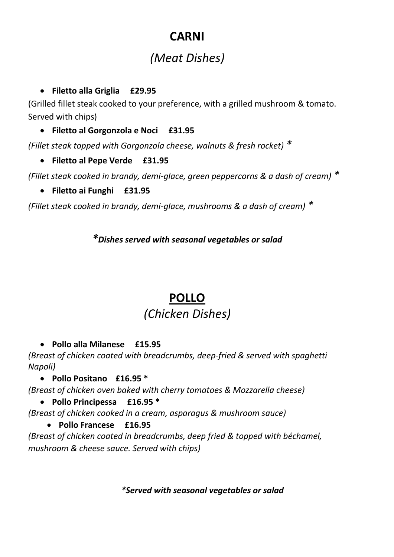# **CARNI**

# *(Meat Dishes)*

• **Filetto alla Griglia £29.95**

(Grilled fillet steak cooked to your preference, with a grilled mushroom & tomato. Served with chips)

• **Filetto al Gorgonzola e Noci £31.95**

*(Fillet steak topped with Gorgonzola cheese, walnuts & fresh rocket) \**

# • **Filetto al Pepe Verde £31.95**

*(Fillet steak cooked in brandy, demi-glace, green peppercorns & a dash of cream) \**

• **Filetto ai Funghi £31.95**

*(Fillet steak cooked in brandy, demi-glace, mushrooms & a dash of cream) \**

*\*Dishes served with seasonal vegetables or salad*

# **POLLO**

# *(Chicken Dishes)*

• **Pollo alla Milanese £15.95**

*(Breast of chicken coated with breadcrumbs, deep-fried & served with spaghetti Napoli)*

• **Pollo Positano £16.95 \***

*(Breast of chicken oven baked with cherry tomatoes & Mozzarella cheese)*

• **Pollo Principessa £16.95 \***

*(Breast of chicken cooked in a cream, asparagus & mushroom sauce)*

• **Pollo Francese £16.95**

*(Breast of chicken coated in breadcrumbs, deep fried & topped with béchamel, mushroom & cheese sauce. Served with chips)*

*\*Served with seasonal vegetables or salad*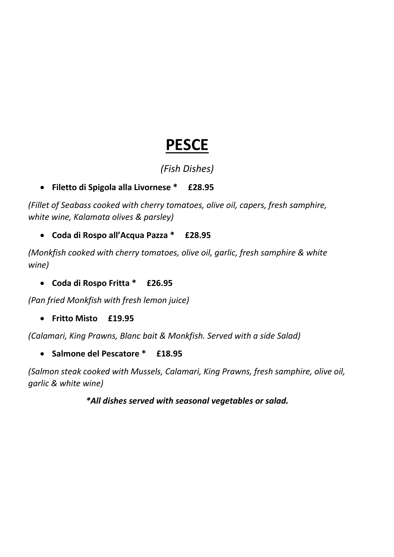# **PESCE**

# *(Fish Dishes)*

# • **Filetto di Spigola alla Livornese \* £28.95**

*(Fillet of Seabass cooked with cherry tomatoes, olive oil, capers, fresh samphire, white wine, Kalamata olives & parsley)*

## • **Coda di Rospo all'Acqua Pazza \* £28.95**

*(Monkfish cooked with cherry tomatoes, olive oil, garlic, fresh samphire & white wine)*

• **Coda di Rospo Fritta \* £26.95**

*(Pan fried Monkfish with fresh lemon juice)*

• **Fritto Misto £19.95**

*(Calamari, King Prawns, Blanc bait & Monkfish. Served with a side Salad)*

• **Salmone del Pescatore \* £18.95**

*(Salmon steak cooked with Mussels, Calamari, King Prawns, fresh samphire, olive oil, garlic & white wine)*

## *\*All dishes served with seasonal vegetables or salad.*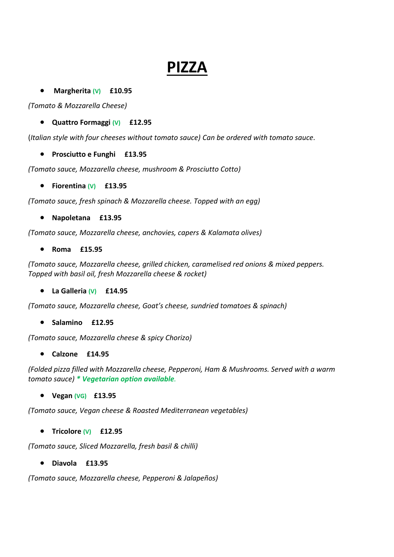# **PIZZA**

• **Margherita (V) £10.95**

*(Tomato & Mozzarella Cheese)*

• **Quattro Formaggi (V) £12.95**

(*Italian style with four cheeses without tomato sauce) Can be ordered with tomato sauce.*

• **Prosciutto e Funghi £13.95**

*(Tomato sauce, Mozzarella cheese, mushroom & Prosciutto Cotto)*

• **Fiorentina (V) £13.95**

*(Tomato sauce, fresh spinach & Mozzarella cheese. Topped with an egg)*

• **Napoletana £13.95**

*(Tomato sauce, Mozzarella cheese, anchovies, capers & Kalamata olives)*

• **Roma £15.95**

*(Tomato sauce, Mozzarella cheese, grilled chicken, caramelised red onions & mixed peppers. Topped with basil oil, fresh Mozzarella cheese & rocket)*

• **La Galleria (V) £14.95**

*(Tomato sauce, Mozzarella cheese, Goat's cheese, sundried tomatoes & spinach)*

• **Salamino £12.95**

*(Tomato sauce, Mozzarella cheese & spicy Chorizo)*

• **Calzone £14.95**

*(Folded pizza filled with Mozzarella cheese, Pepperoni, Ham & Mushrooms. Served with a warm tomato sauce) \* Vegetarian option available.*

• **Vegan (VG) £13.95**

*(Tomato sauce, Vegan cheese & Roasted Mediterranean vegetables)*

• **Tricolore (V) £12.95**

*(Tomato sauce, Sliced Mozzarella, fresh basil & chilli)*

• **Diavola £13.95**

*(Tomato sauce, Mozzarella cheese, Pepperoni & Jalapeños)*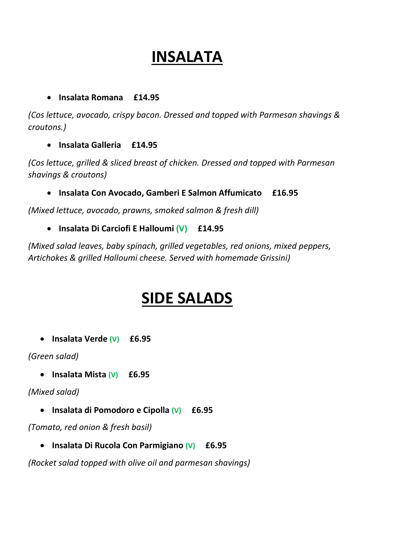# **INSALATA**

#### • **Insalata Romana £14.95**

*(Cos lettuce, avocado, crispy bacon. Dressed and topped with Parmesan shavings & croutons.)*

• **Insalata Galleria £14.95**

*(Cos lettuce, grilled & sliced breast of chicken. Dressed and topped with Parmesan shavings & croutons)*

• **Insalata Con Avocado, Gamberi E Salmon Affumicato £16.95**

*(Mixed lettuce, avocado, prawns, smoked salmon & fresh dill)*

• **Insalata Di Carciofi E Halloumi (V) £14.95**

*(Mixed salad leaves, baby spinach, grilled vegetables, red onions, mixed peppers, Artichokes & grilled Halloumi cheese. Served with homemade Grissini)*

# **SIDE SALADS**

• **Insalata Verde (V) £6.95**

*(Green salad)*

• **Insalata Mista (V) £6.95**

*(Mixed salad)*

• **Insalata di Pomodoro e Cipolla (V) £6.95**

*(Tomato, red onion & fresh basil)*

• **Insalata Di Rucola Con Parmigiano (V) £6.95**

*(Rocket salad topped with olive oil and parmesan shavings)*